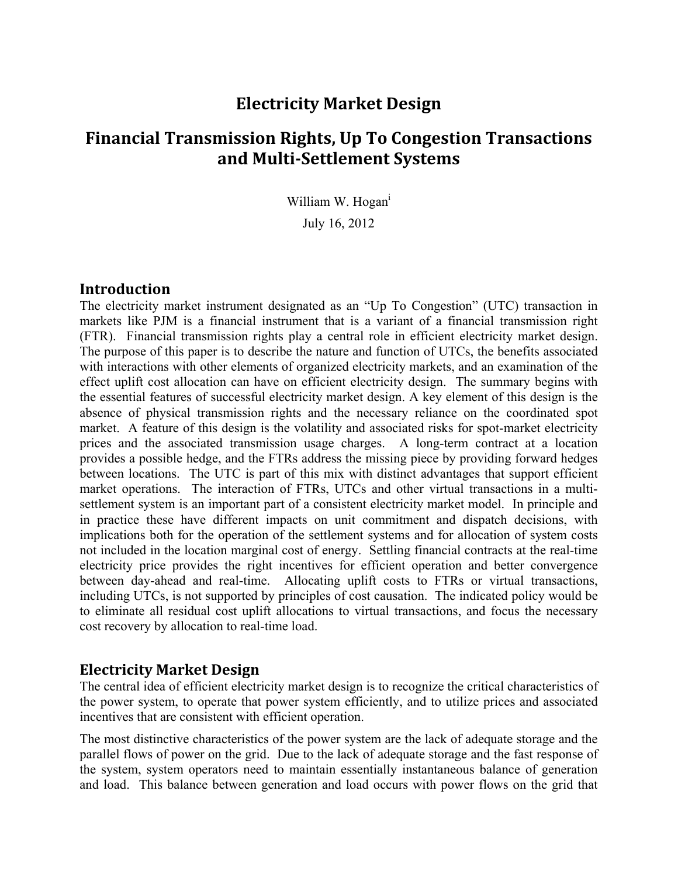## **Electricity Market Design**

# **Financial Transmission Rights, Up To Congestion Transactions and Multi‐Settlement Systems**

William W. Hogan<sup>i</sup>

July 16, 2012

#### **Introduction**

The electricity market instrument designated as an "Up To Congestion" (UTC) transaction in markets like PJM is a financial instrument that is a variant of a financial transmission right (FTR). Financial transmission rights play a central role in efficient electricity market design. The purpose of this paper is to describe the nature and function of UTCs, the benefits associated with interactions with other elements of organized electricity markets, and an examination of the effect uplift cost allocation can have on efficient electricity design. The summary begins with the essential features of successful electricity market design. A key element of this design is the absence of physical transmission rights and the necessary reliance on the coordinated spot market. A feature of this design is the volatility and associated risks for spot-market electricity prices and the associated transmission usage charges. A long-term contract at a location provides a possible hedge, and the FTRs address the missing piece by providing forward hedges between locations. The UTC is part of this mix with distinct advantages that support efficient market operations. The interaction of FTRs, UTCs and other virtual transactions in a multisettlement system is an important part of a consistent electricity market model. In principle and in practice these have different impacts on unit commitment and dispatch decisions, with implications both for the operation of the settlement systems and for allocation of system costs not included in the location marginal cost of energy. Settling financial contracts at the real-time electricity price provides the right incentives for efficient operation and better convergence between day-ahead and real-time. Allocating uplift costs to FTRs or virtual transactions, including UTCs, is not supported by principles of cost causation. The indicated policy would be to eliminate all residual cost uplift allocations to virtual transactions, and focus the necessary cost recovery by allocation to real-time load.

#### **Electricity Market Design**

The central idea of efficient electricity market design is to recognize the critical characteristics of the power system, to operate that power system efficiently, and to utilize prices and associated incentives that are consistent with efficient operation.

The most distinctive characteristics of the power system are the lack of adequate storage and the parallel flows of power on the grid. Due to the lack of adequate storage and the fast response of the system, system operators need to maintain essentially instantaneous balance of generation and load. This balance between generation and load occurs with power flows on the grid that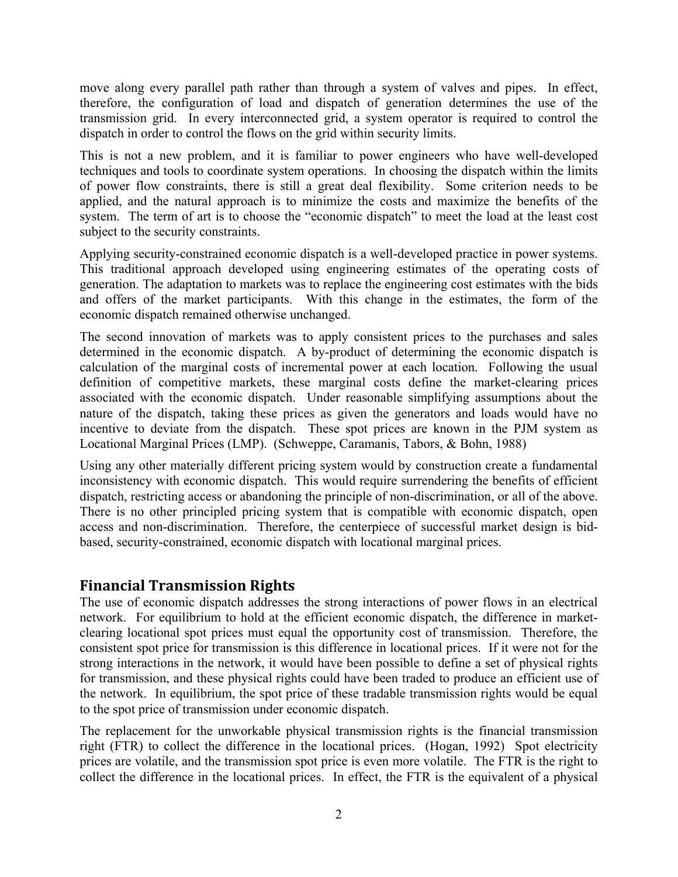move along every parallel path rather than through a system of valves and pipes. In effect, therefore, the configuration of load and dispatch of generation determines the use of the transmission grid. In every interconnected grid, a system operator is required to control the dispatch in order to control the flows on the grid within security limits.

This is not a new problem, and it is familiar to power engineers who have well-developed techniques and tools to coordinate system operations. In choosing the dispatch within the limits of power flow constraints, there is still a great deal flexibility. Some criterion needs to be applied, and the natural approach is to minimize the costs and maximize the benefits of the system. The term of art is to choose the "economic dispatch" to meet the load at the least cost subject to the security constraints.

Applying security-constrained economic dispatch is a well-developed practice in power systems. This traditional approach developed using engineering estimates of the operating costs of generation. The adaptation to markets was to replace the engineering cost estimates with the bids and offers of the market participants. With this change in the estimates, the form of the economic dispatch remained otherwise unchanged.

The second innovation of markets was to apply consistent prices to the purchases and sales determined in the economic dispatch. A by-product of determining the economic dispatch is calculation of the marginal costs of incremental power at each location. Following the usual definition of competitive markets, these marginal costs define the market-clearing prices associated with the economic dispatch. Under reasonable simplifying assumptions about the nature of the dispatch, taking these prices as given the generators and loads would have no incentive to deviate from the dispatch. These spot prices are known in the PJM system as Locational Marginal Prices (LMP). (Schweppe, Caramanis, Tabors, & Bohn, 1988)

Using any other materially different pricing system would by construction create a fundamental inconsistency with economic dispatch. This would require surrendering the benefits of efficient dispatch, restricting access or abandoning the principle of non-discrimination, or all of the above. There is no other principled pricing system that is compatible with economic dispatch, open access and non-discrimination. Therefore, the centerpiece of successful market design is bidbased, security-constrained, economic dispatch with locational marginal prices.

## **Financial Transmission Rights**

The use of economic dispatch addresses the strong interactions of power flows in an electrical network. For equilibrium to hold at the efficient economic dispatch, the difference in marketclearing locational spot prices must equal the opportunity cost of transmission. Therefore, the consistent spot price for transmission is this difference in locational prices. If it were not for the strong interactions in the network, it would have been possible to define a set of physical rights for transmission, and these physical rights could have been traded to produce an efficient use of the network. In equilibrium, the spot price of these tradable transmission rights would be equal to the spot price of transmission under economic dispatch.

The replacement for the unworkable physical transmission rights is the financial transmission right (FTR) to collect the difference in the locational prices. (Hogan, 1992) Spot electricity prices are volatile, and the transmission spot price is even more volatile. The FTR is the right to collect the difference in the locational prices. In effect, the FTR is the equivalent of a physical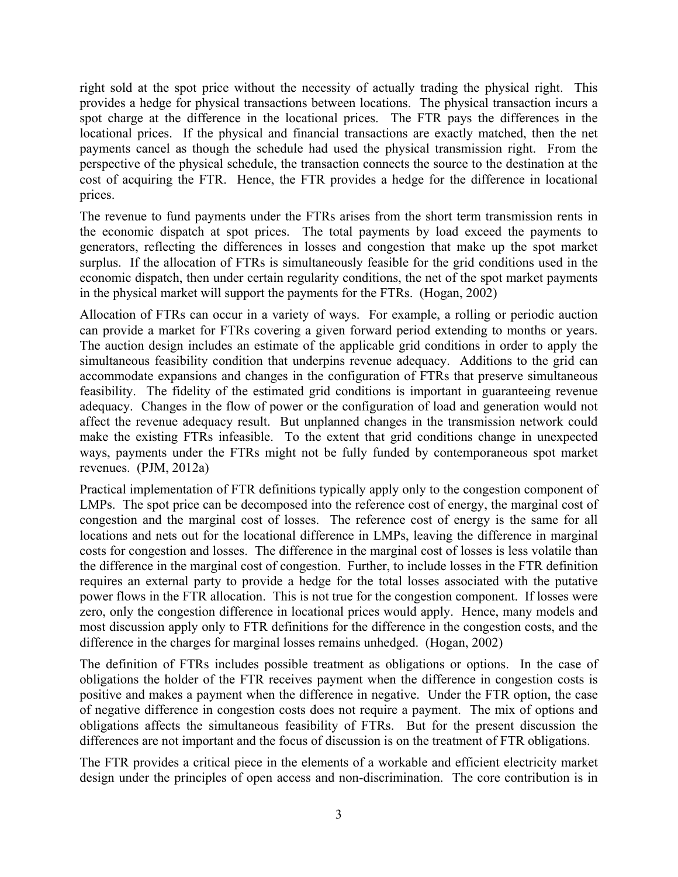right sold at the spot price without the necessity of actually trading the physical right. This provides a hedge for physical transactions between locations. The physical transaction incurs a spot charge at the difference in the locational prices. The FTR pays the differences in the locational prices. If the physical and financial transactions are exactly matched, then the net payments cancel as though the schedule had used the physical transmission right. From the perspective of the physical schedule, the transaction connects the source to the destination at the cost of acquiring the FTR. Hence, the FTR provides a hedge for the difference in locational prices.

The revenue to fund payments under the FTRs arises from the short term transmission rents in the economic dispatch at spot prices. The total payments by load exceed the payments to generators, reflecting the differences in losses and congestion that make up the spot market surplus. If the allocation of FTRs is simultaneously feasible for the grid conditions used in the economic dispatch, then under certain regularity conditions, the net of the spot market payments in the physical market will support the payments for the FTRs. (Hogan, 2002)

Allocation of FTRs can occur in a variety of ways. For example, a rolling or periodic auction can provide a market for FTRs covering a given forward period extending to months or years. The auction design includes an estimate of the applicable grid conditions in order to apply the simultaneous feasibility condition that underpins revenue adequacy. Additions to the grid can accommodate expansions and changes in the configuration of FTRs that preserve simultaneous feasibility. The fidelity of the estimated grid conditions is important in guaranteeing revenue adequacy. Changes in the flow of power or the configuration of load and generation would not affect the revenue adequacy result. But unplanned changes in the transmission network could make the existing FTRs infeasible. To the extent that grid conditions change in unexpected ways, payments under the FTRs might not be fully funded by contemporaneous spot market revenues. (PJM, 2012a)

Practical implementation of FTR definitions typically apply only to the congestion component of LMPs. The spot price can be decomposed into the reference cost of energy, the marginal cost of congestion and the marginal cost of losses. The reference cost of energy is the same for all locations and nets out for the locational difference in LMPs, leaving the difference in marginal costs for congestion and losses. The difference in the marginal cost of losses is less volatile than the difference in the marginal cost of congestion. Further, to include losses in the FTR definition requires an external party to provide a hedge for the total losses associated with the putative power flows in the FTR allocation. This is not true for the congestion component. If losses were zero, only the congestion difference in locational prices would apply. Hence, many models and most discussion apply only to FTR definitions for the difference in the congestion costs, and the difference in the charges for marginal losses remains unhedged. (Hogan, 2002)

The definition of FTRs includes possible treatment as obligations or options. In the case of obligations the holder of the FTR receives payment when the difference in congestion costs is positive and makes a payment when the difference in negative. Under the FTR option, the case of negative difference in congestion costs does not require a payment. The mix of options and obligations affects the simultaneous feasibility of FTRs. But for the present discussion the differences are not important and the focus of discussion is on the treatment of FTR obligations.

The FTR provides a critical piece in the elements of a workable and efficient electricity market design under the principles of open access and non-discrimination. The core contribution is in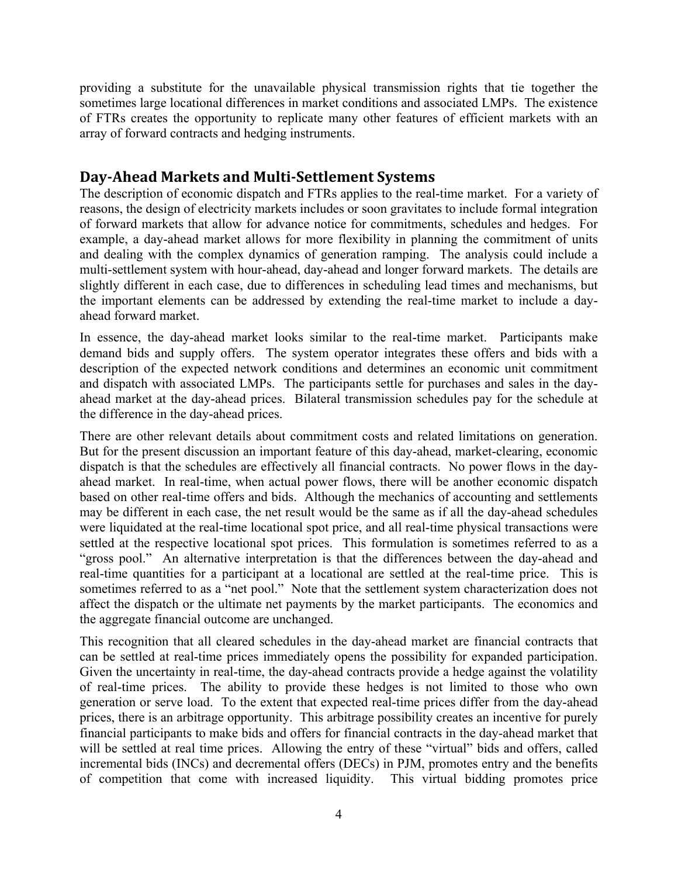providing a substitute for the unavailable physical transmission rights that tie together the sometimes large locational differences in market conditions and associated LMPs. The existence of FTRs creates the opportunity to replicate many other features of efficient markets with an array of forward contracts and hedging instruments.

## **Day‐Ahead Markets and Multi‐Settlement Systems**

The description of economic dispatch and FTRs applies to the real-time market. For a variety of reasons, the design of electricity markets includes or soon gravitates to include formal integration of forward markets that allow for advance notice for commitments, schedules and hedges. For example, a day-ahead market allows for more flexibility in planning the commitment of units and dealing with the complex dynamics of generation ramping. The analysis could include a multi-settlement system with hour-ahead, day-ahead and longer forward markets. The details are slightly different in each case, due to differences in scheduling lead times and mechanisms, but the important elements can be addressed by extending the real-time market to include a dayahead forward market.

In essence, the day-ahead market looks similar to the real-time market. Participants make demand bids and supply offers. The system operator integrates these offers and bids with a description of the expected network conditions and determines an economic unit commitment and dispatch with associated LMPs. The participants settle for purchases and sales in the dayahead market at the day-ahead prices. Bilateral transmission schedules pay for the schedule at the difference in the day-ahead prices.

There are other relevant details about commitment costs and related limitations on generation. But for the present discussion an important feature of this day-ahead, market-clearing, economic dispatch is that the schedules are effectively all financial contracts. No power flows in the dayahead market. In real-time, when actual power flows, there will be another economic dispatch based on other real-time offers and bids. Although the mechanics of accounting and settlements may be different in each case, the net result would be the same as if all the day-ahead schedules were liquidated at the real-time locational spot price, and all real-time physical transactions were settled at the respective locational spot prices. This formulation is sometimes referred to as a "gross pool." An alternative interpretation is that the differences between the day-ahead and real-time quantities for a participant at a locational are settled at the real-time price. This is sometimes referred to as a "net pool." Note that the settlement system characterization does not affect the dispatch or the ultimate net payments by the market participants. The economics and the aggregate financial outcome are unchanged.

This recognition that all cleared schedules in the day-ahead market are financial contracts that can be settled at real-time prices immediately opens the possibility for expanded participation. Given the uncertainty in real-time, the day-ahead contracts provide a hedge against the volatility of real-time prices. The ability to provide these hedges is not limited to those who own generation or serve load. To the extent that expected real-time prices differ from the day-ahead prices, there is an arbitrage opportunity. This arbitrage possibility creates an incentive for purely financial participants to make bids and offers for financial contracts in the day-ahead market that will be settled at real time prices. Allowing the entry of these "virtual" bids and offers, called incremental bids (INCs) and decremental offers (DECs) in PJM, promotes entry and the benefits of competition that come with increased liquidity. This virtual bidding promotes price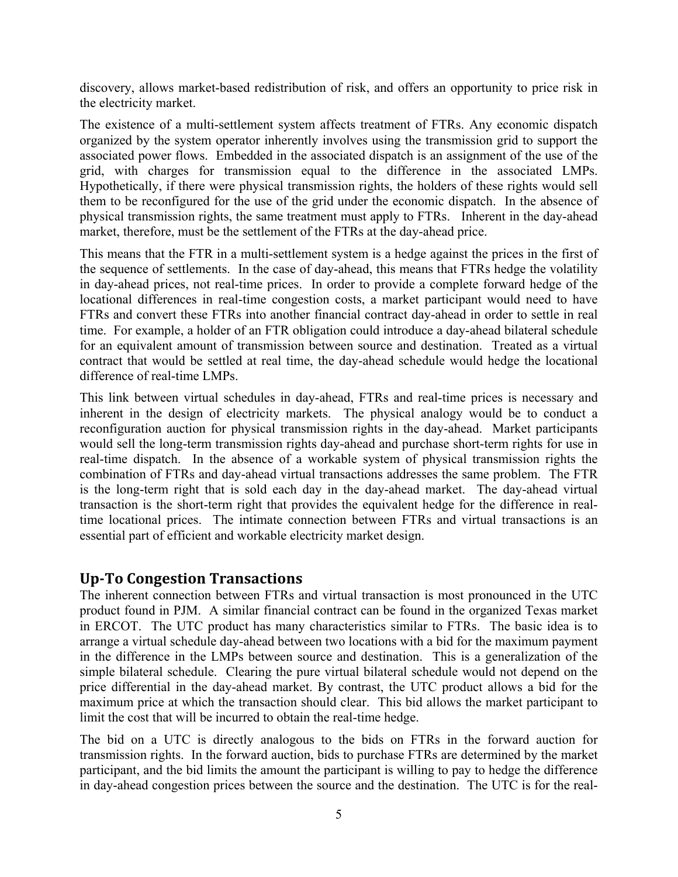discovery, allows market-based redistribution of risk, and offers an opportunity to price risk in the electricity market.

The existence of a multi-settlement system affects treatment of FTRs. Any economic dispatch organized by the system operator inherently involves using the transmission grid to support the associated power flows. Embedded in the associated dispatch is an assignment of the use of the grid, with charges for transmission equal to the difference in the associated LMPs. Hypothetically, if there were physical transmission rights, the holders of these rights would sell them to be reconfigured for the use of the grid under the economic dispatch. In the absence of physical transmission rights, the same treatment must apply to FTRs. Inherent in the day-ahead market, therefore, must be the settlement of the FTRs at the day-ahead price.

This means that the FTR in a multi-settlement system is a hedge against the prices in the first of the sequence of settlements. In the case of day-ahead, this means that FTRs hedge the volatility in day-ahead prices, not real-time prices. In order to provide a complete forward hedge of the locational differences in real-time congestion costs, a market participant would need to have FTRs and convert these FTRs into another financial contract day-ahead in order to settle in real time. For example, a holder of an FTR obligation could introduce a day-ahead bilateral schedule for an equivalent amount of transmission between source and destination. Treated as a virtual contract that would be settled at real time, the day-ahead schedule would hedge the locational difference of real-time LMPs.

This link between virtual schedules in day-ahead, FTRs and real-time prices is necessary and inherent in the design of electricity markets. The physical analogy would be to conduct a reconfiguration auction for physical transmission rights in the day-ahead. Market participants would sell the long-term transmission rights day-ahead and purchase short-term rights for use in real-time dispatch. In the absence of a workable system of physical transmission rights the combination of FTRs and day-ahead virtual transactions addresses the same problem. The FTR is the long-term right that is sold each day in the day-ahead market. The day-ahead virtual transaction is the short-term right that provides the equivalent hedge for the difference in realtime locational prices. The intimate connection between FTRs and virtual transactions is an essential part of efficient and workable electricity market design.

## **Up‐To Congestion Transactions**

The inherent connection between FTRs and virtual transaction is most pronounced in the UTC product found in PJM. A similar financial contract can be found in the organized Texas market in ERCOT. The UTC product has many characteristics similar to FTRs. The basic idea is to arrange a virtual schedule day-ahead between two locations with a bid for the maximum payment in the difference in the LMPs between source and destination. This is a generalization of the simple bilateral schedule. Clearing the pure virtual bilateral schedule would not depend on the price differential in the day-ahead market. By contrast, the UTC product allows a bid for the maximum price at which the transaction should clear. This bid allows the market participant to limit the cost that will be incurred to obtain the real-time hedge.

The bid on a UTC is directly analogous to the bids on FTRs in the forward auction for transmission rights. In the forward auction, bids to purchase FTRs are determined by the market participant, and the bid limits the amount the participant is willing to pay to hedge the difference in day-ahead congestion prices between the source and the destination. The UTC is for the real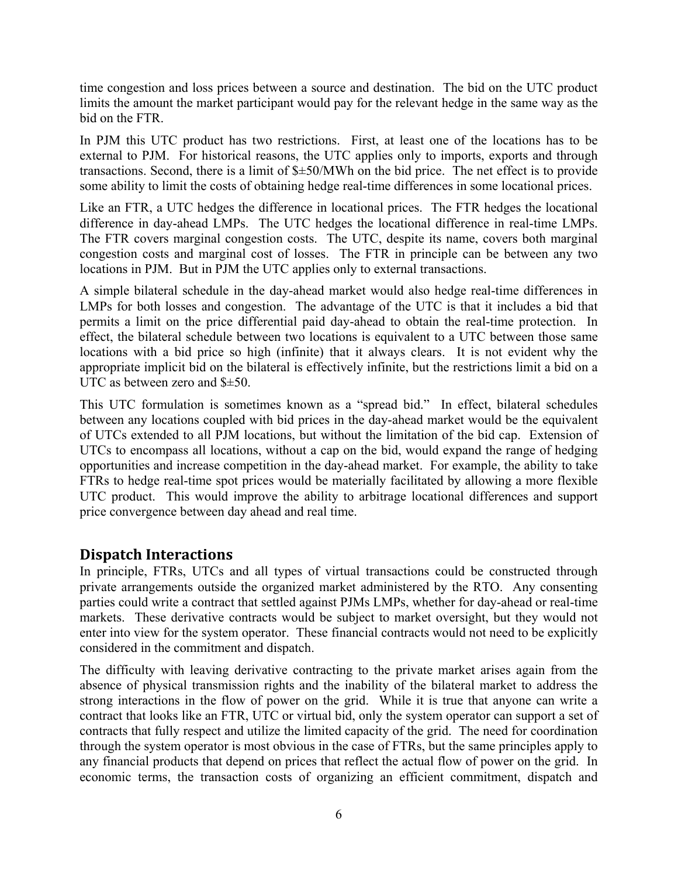time congestion and loss prices between a source and destination. The bid on the UTC product limits the amount the market participant would pay for the relevant hedge in the same way as the bid on the FTR.

In PJM this UTC product has two restrictions. First, at least one of the locations has to be external to PJM. For historical reasons, the UTC applies only to imports, exports and through transactions. Second, there is a limit of \$±50/MWh on the bid price. The net effect is to provide some ability to limit the costs of obtaining hedge real-time differences in some locational prices.

Like an FTR, a UTC hedges the difference in locational prices. The FTR hedges the locational difference in day-ahead LMPs. The UTC hedges the locational difference in real-time LMPs. The FTR covers marginal congestion costs. The UTC, despite its name, covers both marginal congestion costs and marginal cost of losses. The FTR in principle can be between any two locations in PJM. But in PJM the UTC applies only to external transactions.

A simple bilateral schedule in the day-ahead market would also hedge real-time differences in LMPs for both losses and congestion. The advantage of the UTC is that it includes a bid that permits a limit on the price differential paid day-ahead to obtain the real-time protection. In effect, the bilateral schedule between two locations is equivalent to a UTC between those same locations with a bid price so high (infinite) that it always clears. It is not evident why the appropriate implicit bid on the bilateral is effectively infinite, but the restrictions limit a bid on a UTC as between zero and \$±50.

This UTC formulation is sometimes known as a "spread bid." In effect, bilateral schedules between any locations coupled with bid prices in the day-ahead market would be the equivalent of UTCs extended to all PJM locations, but without the limitation of the bid cap. Extension of UTCs to encompass all locations, without a cap on the bid, would expand the range of hedging opportunities and increase competition in the day-ahead market. For example, the ability to take FTRs to hedge real-time spot prices would be materially facilitated by allowing a more flexible UTC product. This would improve the ability to arbitrage locational differences and support price convergence between day ahead and real time.

## **Dispatch Interactions**

In principle, FTRs, UTCs and all types of virtual transactions could be constructed through private arrangements outside the organized market administered by the RTO. Any consenting parties could write a contract that settled against PJMs LMPs, whether for day-ahead or real-time markets. These derivative contracts would be subject to market oversight, but they would not enter into view for the system operator. These financial contracts would not need to be explicitly considered in the commitment and dispatch.

The difficulty with leaving derivative contracting to the private market arises again from the absence of physical transmission rights and the inability of the bilateral market to address the strong interactions in the flow of power on the grid. While it is true that anyone can write a contract that looks like an FTR, UTC or virtual bid, only the system operator can support a set of contracts that fully respect and utilize the limited capacity of the grid. The need for coordination through the system operator is most obvious in the case of FTRs, but the same principles apply to any financial products that depend on prices that reflect the actual flow of power on the grid. In economic terms, the transaction costs of organizing an efficient commitment, dispatch and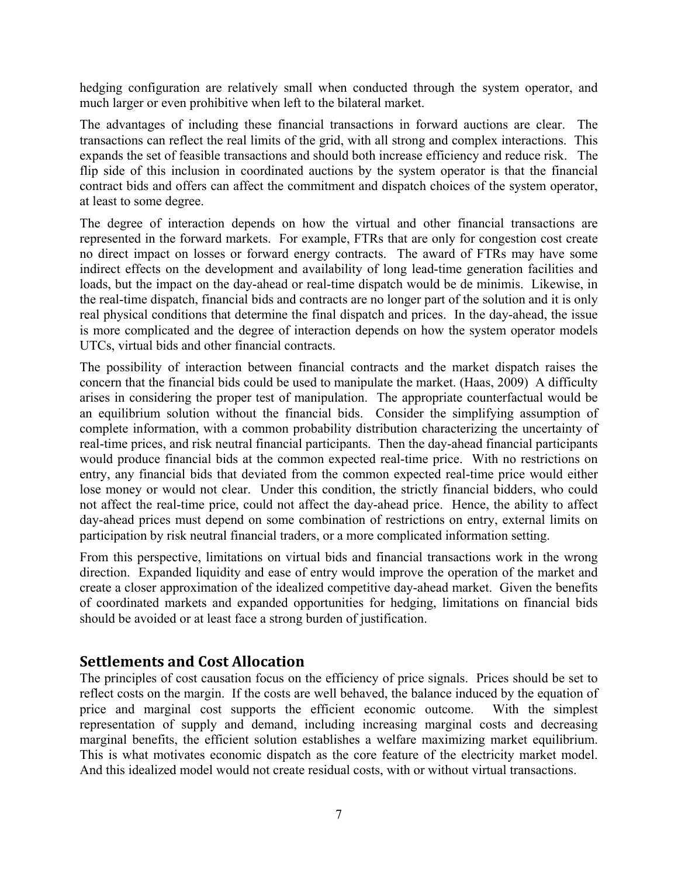hedging configuration are relatively small when conducted through the system operator, and much larger or even prohibitive when left to the bilateral market.

The advantages of including these financial transactions in forward auctions are clear. The transactions can reflect the real limits of the grid, with all strong and complex interactions. This expands the set of feasible transactions and should both increase efficiency and reduce risk. The flip side of this inclusion in coordinated auctions by the system operator is that the financial contract bids and offers can affect the commitment and dispatch choices of the system operator, at least to some degree.

The degree of interaction depends on how the virtual and other financial transactions are represented in the forward markets. For example, FTRs that are only for congestion cost create no direct impact on losses or forward energy contracts. The award of FTRs may have some indirect effects on the development and availability of long lead-time generation facilities and loads, but the impact on the day-ahead or real-time dispatch would be de minimis. Likewise, in the real-time dispatch, financial bids and contracts are no longer part of the solution and it is only real physical conditions that determine the final dispatch and prices. In the day-ahead, the issue is more complicated and the degree of interaction depends on how the system operator models UTCs, virtual bids and other financial contracts.

The possibility of interaction between financial contracts and the market dispatch raises the concern that the financial bids could be used to manipulate the market. (Haas, 2009) A difficulty arises in considering the proper test of manipulation. The appropriate counterfactual would be an equilibrium solution without the financial bids. Consider the simplifying assumption of complete information, with a common probability distribution characterizing the uncertainty of real-time prices, and risk neutral financial participants. Then the day-ahead financial participants would produce financial bids at the common expected real-time price. With no restrictions on entry, any financial bids that deviated from the common expected real-time price would either lose money or would not clear. Under this condition, the strictly financial bidders, who could not affect the real-time price, could not affect the day-ahead price. Hence, the ability to affect day-ahead prices must depend on some combination of restrictions on entry, external limits on participation by risk neutral financial traders, or a more complicated information setting.

From this perspective, limitations on virtual bids and financial transactions work in the wrong direction. Expanded liquidity and ease of entry would improve the operation of the market and create a closer approximation of the idealized competitive day-ahead market. Given the benefits of coordinated markets and expanded opportunities for hedging, limitations on financial bids should be avoided or at least face a strong burden of justification.

## **Settlements and Cost Allocation**

The principles of cost causation focus on the efficiency of price signals. Prices should be set to reflect costs on the margin. If the costs are well behaved, the balance induced by the equation of price and marginal cost supports the efficient economic outcome. With the simplest representation of supply and demand, including increasing marginal costs and decreasing marginal benefits, the efficient solution establishes a welfare maximizing market equilibrium. This is what motivates economic dispatch as the core feature of the electricity market model. And this idealized model would not create residual costs, with or without virtual transactions.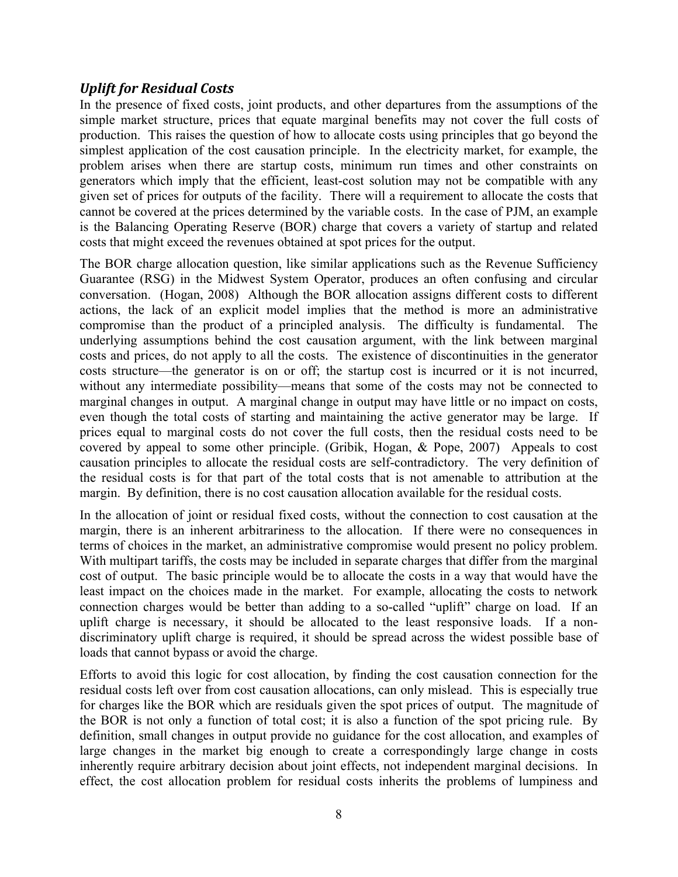#### *Uplift for Residual Costs*

In the presence of fixed costs, joint products, and other departures from the assumptions of the simple market structure, prices that equate marginal benefits may not cover the full costs of production. This raises the question of how to allocate costs using principles that go beyond the simplest application of the cost causation principle. In the electricity market, for example, the problem arises when there are startup costs, minimum run times and other constraints on generators which imply that the efficient, least-cost solution may not be compatible with any given set of prices for outputs of the facility. There will a requirement to allocate the costs that cannot be covered at the prices determined by the variable costs. In the case of PJM, an example is the Balancing Operating Reserve (BOR) charge that covers a variety of startup and related costs that might exceed the revenues obtained at spot prices for the output.

The BOR charge allocation question, like similar applications such as the Revenue Sufficiency Guarantee (RSG) in the Midwest System Operator, produces an often confusing and circular conversation. (Hogan, 2008) Although the BOR allocation assigns different costs to different actions, the lack of an explicit model implies that the method is more an administrative compromise than the product of a principled analysis. The difficulty is fundamental. The underlying assumptions behind the cost causation argument, with the link between marginal costs and prices, do not apply to all the costs. The existence of discontinuities in the generator costs structure—the generator is on or off; the startup cost is incurred or it is not incurred, without any intermediate possibility—means that some of the costs may not be connected to marginal changes in output. A marginal change in output may have little or no impact on costs, even though the total costs of starting and maintaining the active generator may be large. If prices equal to marginal costs do not cover the full costs, then the residual costs need to be covered by appeal to some other principle. (Gribik, Hogan, & Pope, 2007) Appeals to cost causation principles to allocate the residual costs are self-contradictory. The very definition of the residual costs is for that part of the total costs that is not amenable to attribution at the margin. By definition, there is no cost causation allocation available for the residual costs.

In the allocation of joint or residual fixed costs, without the connection to cost causation at the margin, there is an inherent arbitrariness to the allocation. If there were no consequences in terms of choices in the market, an administrative compromise would present no policy problem. With multipart tariffs, the costs may be included in separate charges that differ from the marginal cost of output. The basic principle would be to allocate the costs in a way that would have the least impact on the choices made in the market. For example, allocating the costs to network connection charges would be better than adding to a so-called "uplift" charge on load. If an uplift charge is necessary, it should be allocated to the least responsive loads. If a nondiscriminatory uplift charge is required, it should be spread across the widest possible base of loads that cannot bypass or avoid the charge.

Efforts to avoid this logic for cost allocation, by finding the cost causation connection for the residual costs left over from cost causation allocations, can only mislead. This is especially true for charges like the BOR which are residuals given the spot prices of output. The magnitude of the BOR is not only a function of total cost; it is also a function of the spot pricing rule. By definition, small changes in output provide no guidance for the cost allocation, and examples of large changes in the market big enough to create a correspondingly large change in costs inherently require arbitrary decision about joint effects, not independent marginal decisions. In effect, the cost allocation problem for residual costs inherits the problems of lumpiness and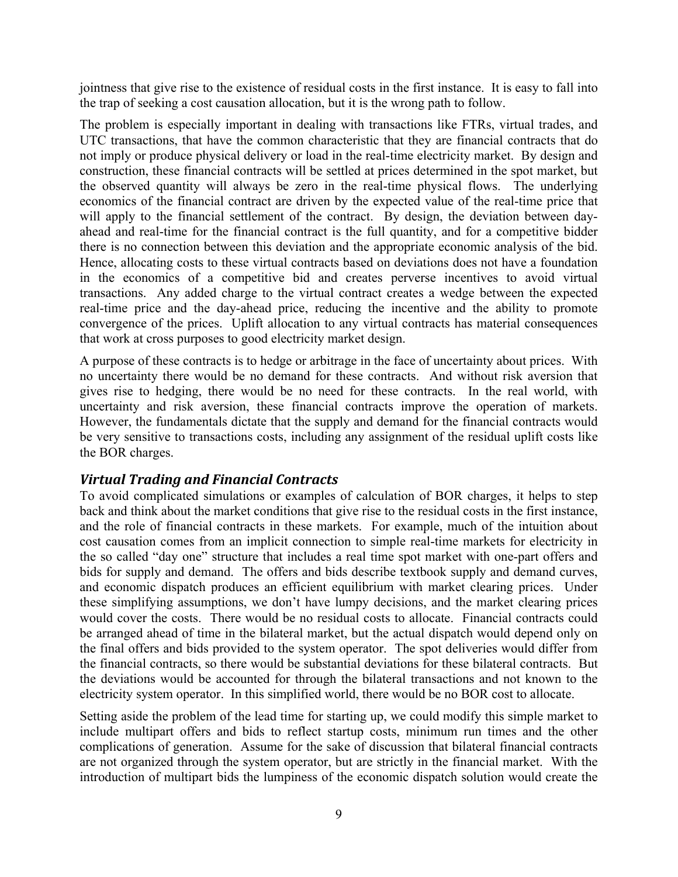jointness that give rise to the existence of residual costs in the first instance. It is easy to fall into the trap of seeking a cost causation allocation, but it is the wrong path to follow.

The problem is especially important in dealing with transactions like FTRs, virtual trades, and UTC transactions, that have the common characteristic that they are financial contracts that do not imply or produce physical delivery or load in the real-time electricity market. By design and construction, these financial contracts will be settled at prices determined in the spot market, but the observed quantity will always be zero in the real-time physical flows. The underlying economics of the financial contract are driven by the expected value of the real-time price that will apply to the financial settlement of the contract. By design, the deviation between dayahead and real-time for the financial contract is the full quantity, and for a competitive bidder there is no connection between this deviation and the appropriate economic analysis of the bid. Hence, allocating costs to these virtual contracts based on deviations does not have a foundation in the economics of a competitive bid and creates perverse incentives to avoid virtual transactions. Any added charge to the virtual contract creates a wedge between the expected real-time price and the day-ahead price, reducing the incentive and the ability to promote convergence of the prices. Uplift allocation to any virtual contracts has material consequences that work at cross purposes to good electricity market design.

A purpose of these contracts is to hedge or arbitrage in the face of uncertainty about prices. With no uncertainty there would be no demand for these contracts. And without risk aversion that gives rise to hedging, there would be no need for these contracts. In the real world, with uncertainty and risk aversion, these financial contracts improve the operation of markets. However, the fundamentals dictate that the supply and demand for the financial contracts would be very sensitive to transactions costs, including any assignment of the residual uplift costs like the BOR charges.

#### *Virtual Trading and Financial Contracts*

To avoid complicated simulations or examples of calculation of BOR charges, it helps to step back and think about the market conditions that give rise to the residual costs in the first instance, and the role of financial contracts in these markets. For example, much of the intuition about cost causation comes from an implicit connection to simple real-time markets for electricity in the so called "day one" structure that includes a real time spot market with one-part offers and bids for supply and demand. The offers and bids describe textbook supply and demand curves, and economic dispatch produces an efficient equilibrium with market clearing prices. Under these simplifying assumptions, we don't have lumpy decisions, and the market clearing prices would cover the costs. There would be no residual costs to allocate. Financial contracts could be arranged ahead of time in the bilateral market, but the actual dispatch would depend only on the final offers and bids provided to the system operator. The spot deliveries would differ from the financial contracts, so there would be substantial deviations for these bilateral contracts. But the deviations would be accounted for through the bilateral transactions and not known to the electricity system operator. In this simplified world, there would be no BOR cost to allocate.

Setting aside the problem of the lead time for starting up, we could modify this simple market to include multipart offers and bids to reflect startup costs, minimum run times and the other complications of generation. Assume for the sake of discussion that bilateral financial contracts are not organized through the system operator, but are strictly in the financial market. With the introduction of multipart bids the lumpiness of the economic dispatch solution would create the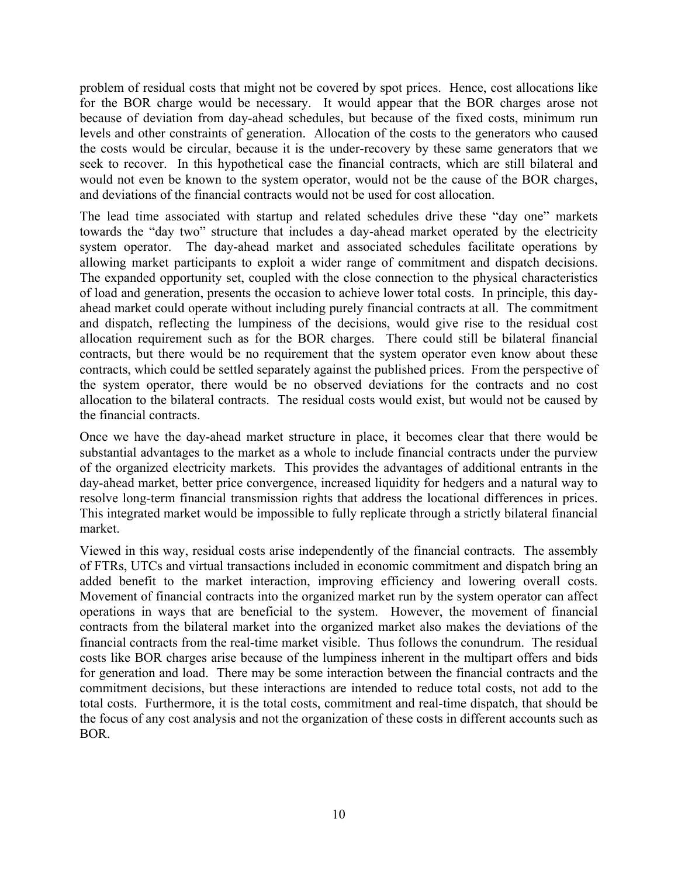problem of residual costs that might not be covered by spot prices. Hence, cost allocations like for the BOR charge would be necessary. It would appear that the BOR charges arose not because of deviation from day-ahead schedules, but because of the fixed costs, minimum run levels and other constraints of generation. Allocation of the costs to the generators who caused the costs would be circular, because it is the under-recovery by these same generators that we seek to recover. In this hypothetical case the financial contracts, which are still bilateral and would not even be known to the system operator, would not be the cause of the BOR charges, and deviations of the financial contracts would not be used for cost allocation.

The lead time associated with startup and related schedules drive these "day one" markets towards the "day two" structure that includes a day-ahead market operated by the electricity system operator. The day-ahead market and associated schedules facilitate operations by allowing market participants to exploit a wider range of commitment and dispatch decisions. The expanded opportunity set, coupled with the close connection to the physical characteristics of load and generation, presents the occasion to achieve lower total costs. In principle, this dayahead market could operate without including purely financial contracts at all. The commitment and dispatch, reflecting the lumpiness of the decisions, would give rise to the residual cost allocation requirement such as for the BOR charges. There could still be bilateral financial contracts, but there would be no requirement that the system operator even know about these contracts, which could be settled separately against the published prices. From the perspective of the system operator, there would be no observed deviations for the contracts and no cost allocation to the bilateral contracts. The residual costs would exist, but would not be caused by the financial contracts.

Once we have the day-ahead market structure in place, it becomes clear that there would be substantial advantages to the market as a whole to include financial contracts under the purview of the organized electricity markets. This provides the advantages of additional entrants in the day-ahead market, better price convergence, increased liquidity for hedgers and a natural way to resolve long-term financial transmission rights that address the locational differences in prices. This integrated market would be impossible to fully replicate through a strictly bilateral financial market.

Viewed in this way, residual costs arise independently of the financial contracts. The assembly of FTRs, UTCs and virtual transactions included in economic commitment and dispatch bring an added benefit to the market interaction, improving efficiency and lowering overall costs. Movement of financial contracts into the organized market run by the system operator can affect operations in ways that are beneficial to the system. However, the movement of financial contracts from the bilateral market into the organized market also makes the deviations of the financial contracts from the real-time market visible. Thus follows the conundrum. The residual costs like BOR charges arise because of the lumpiness inherent in the multipart offers and bids for generation and load. There may be some interaction between the financial contracts and the commitment decisions, but these interactions are intended to reduce total costs, not add to the total costs. Furthermore, it is the total costs, commitment and real-time dispatch, that should be the focus of any cost analysis and not the organization of these costs in different accounts such as BOR.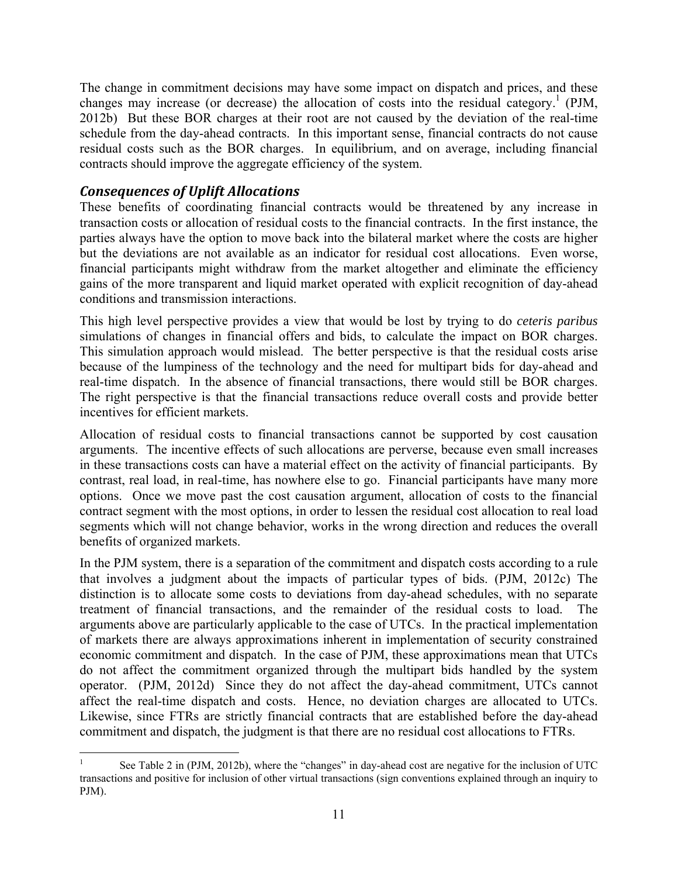The change in commitment decisions may have some impact on dispatch and prices, and these changes may increase (or decrease) the allocation of costs into the residual category.<sup>1</sup> (PJM, 2012b) But these BOR charges at their root are not caused by the deviation of the real-time schedule from the day-ahead contracts. In this important sense, financial contracts do not cause residual costs such as the BOR charges. In equilibrium, and on average, including financial contracts should improve the aggregate efficiency of the system.

#### *Consequences of Uplift Allocations*

These benefits of coordinating financial contracts would be threatened by any increase in transaction costs or allocation of residual costs to the financial contracts. In the first instance, the parties always have the option to move back into the bilateral market where the costs are higher but the deviations are not available as an indicator for residual cost allocations. Even worse, financial participants might withdraw from the market altogether and eliminate the efficiency gains of the more transparent and liquid market operated with explicit recognition of day-ahead conditions and transmission interactions.

This high level perspective provides a view that would be lost by trying to do *ceteris paribus* simulations of changes in financial offers and bids, to calculate the impact on BOR charges. This simulation approach would mislead. The better perspective is that the residual costs arise because of the lumpiness of the technology and the need for multipart bids for day-ahead and real-time dispatch. In the absence of financial transactions, there would still be BOR charges. The right perspective is that the financial transactions reduce overall costs and provide better incentives for efficient markets.

Allocation of residual costs to financial transactions cannot be supported by cost causation arguments. The incentive effects of such allocations are perverse, because even small increases in these transactions costs can have a material effect on the activity of financial participants. By contrast, real load, in real-time, has nowhere else to go. Financial participants have many more options. Once we move past the cost causation argument, allocation of costs to the financial contract segment with the most options, in order to lessen the residual cost allocation to real load segments which will not change behavior, works in the wrong direction and reduces the overall benefits of organized markets.

In the PJM system, there is a separation of the commitment and dispatch costs according to a rule that involves a judgment about the impacts of particular types of bids. (PJM, 2012c) The distinction is to allocate some costs to deviations from day-ahead schedules, with no separate treatment of financial transactions, and the remainder of the residual costs to load. The arguments above are particularly applicable to the case of UTCs. In the practical implementation of markets there are always approximations inherent in implementation of security constrained economic commitment and dispatch. In the case of PJM, these approximations mean that UTCs do not affect the commitment organized through the multipart bids handled by the system operator. (PJM, 2012d) Since they do not affect the day-ahead commitment, UTCs cannot affect the real-time dispatch and costs. Hence, no deviation charges are allocated to UTCs. Likewise, since FTRs are strictly financial contracts that are established before the day-ahead commitment and dispatch, the judgment is that there are no residual cost allocations to FTRs.

<sup>1</sup> 1 See Table 2 in (PJM, 2012b), where the "changes" in day-ahead cost are negative for the inclusion of UTC transactions and positive for inclusion of other virtual transactions (sign conventions explained through an inquiry to PJM).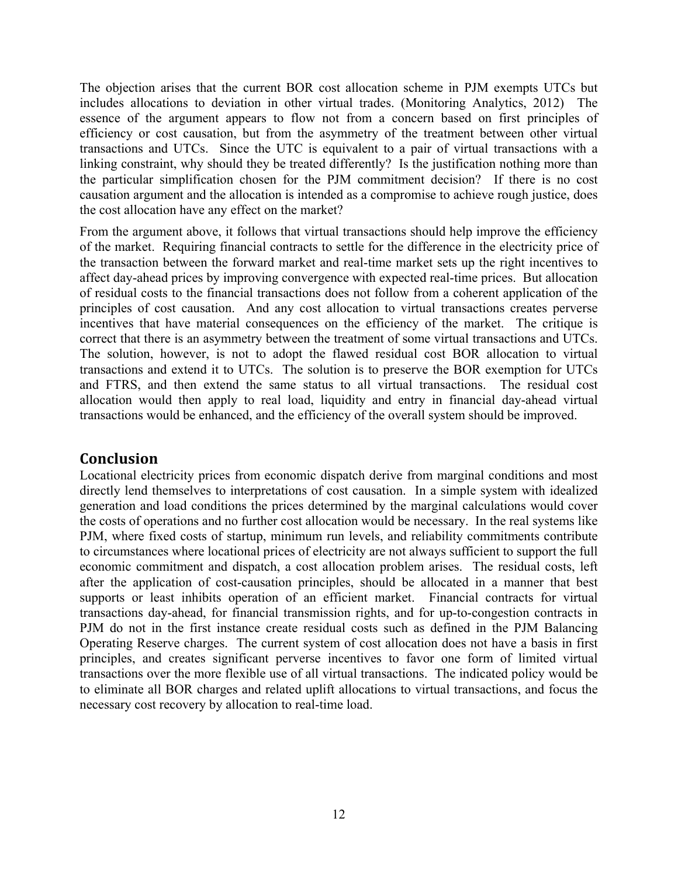The objection arises that the current BOR cost allocation scheme in PJM exempts UTCs but includes allocations to deviation in other virtual trades. (Monitoring Analytics, 2012) The essence of the argument appears to flow not from a concern based on first principles of efficiency or cost causation, but from the asymmetry of the treatment between other virtual transactions and UTCs. Since the UTC is equivalent to a pair of virtual transactions with a linking constraint, why should they be treated differently? Is the justification nothing more than the particular simplification chosen for the PJM commitment decision? If there is no cost causation argument and the allocation is intended as a compromise to achieve rough justice, does the cost allocation have any effect on the market?

From the argument above, it follows that virtual transactions should help improve the efficiency of the market. Requiring financial contracts to settle for the difference in the electricity price of the transaction between the forward market and real-time market sets up the right incentives to affect day-ahead prices by improving convergence with expected real-time prices. But allocation of residual costs to the financial transactions does not follow from a coherent application of the principles of cost causation. And any cost allocation to virtual transactions creates perverse incentives that have material consequences on the efficiency of the market. The critique is correct that there is an asymmetry between the treatment of some virtual transactions and UTCs. The solution, however, is not to adopt the flawed residual cost BOR allocation to virtual transactions and extend it to UTCs. The solution is to preserve the BOR exemption for UTCs and FTRS, and then extend the same status to all virtual transactions. The residual cost allocation would then apply to real load, liquidity and entry in financial day-ahead virtual transactions would be enhanced, and the efficiency of the overall system should be improved.

## **Conclusion**

Locational electricity prices from economic dispatch derive from marginal conditions and most directly lend themselves to interpretations of cost causation. In a simple system with idealized generation and load conditions the prices determined by the marginal calculations would cover the costs of operations and no further cost allocation would be necessary. In the real systems like PJM, where fixed costs of startup, minimum run levels, and reliability commitments contribute to circumstances where locational prices of electricity are not always sufficient to support the full economic commitment and dispatch, a cost allocation problem arises. The residual costs, left after the application of cost-causation principles, should be allocated in a manner that best supports or least inhibits operation of an efficient market. Financial contracts for virtual transactions day-ahead, for financial transmission rights, and for up-to-congestion contracts in PJM do not in the first instance create residual costs such as defined in the PJM Balancing Operating Reserve charges. The current system of cost allocation does not have a basis in first principles, and creates significant perverse incentives to favor one form of limited virtual transactions over the more flexible use of all virtual transactions. The indicated policy would be to eliminate all BOR charges and related uplift allocations to virtual transactions, and focus the necessary cost recovery by allocation to real-time load.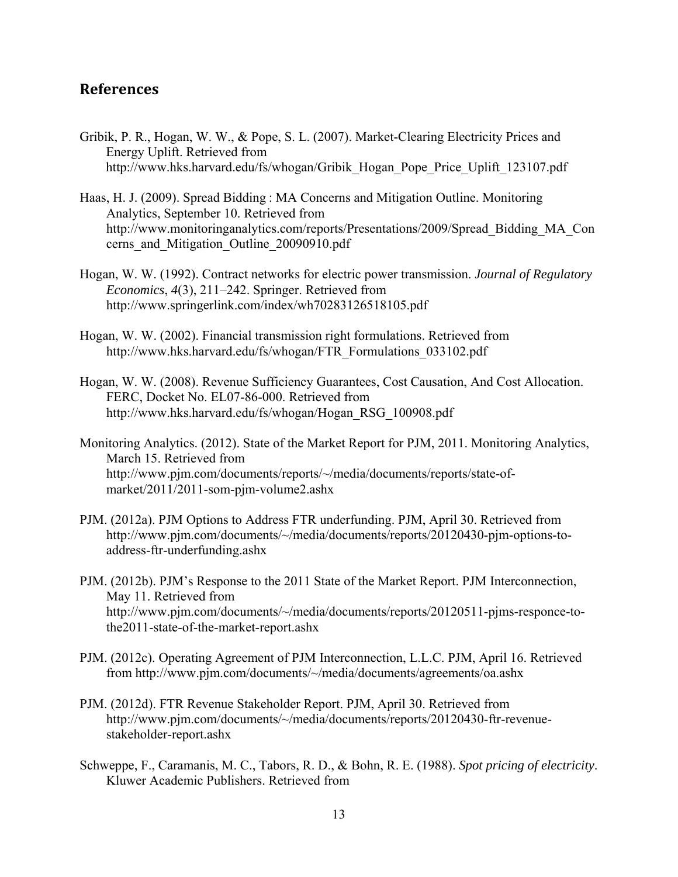#### **References**

- Gribik, P. R., Hogan, W. W., & Pope, S. L. (2007). Market-Clearing Electricity Prices and Energy Uplift. Retrieved from http://www.hks.harvard.edu/fs/whogan/Gribik\_Hogan\_Pope\_Price\_Uplift\_123107.pdf
- Haas, H. J. (2009). Spread Bidding : MA Concerns and Mitigation Outline. Monitoring Analytics, September 10. Retrieved from http://www.monitoringanalytics.com/reports/Presentations/2009/Spread\_Bidding\_MA\_Con cerns\_and\_Mitigation\_Outline\_20090910.pdf
- Hogan, W. W. (1992). Contract networks for electric power transmission. *Journal of Regulatory Economics*, *4*(3), 211–242. Springer. Retrieved from http://www.springerlink.com/index/wh70283126518105.pdf
- Hogan, W. W. (2002). Financial transmission right formulations. Retrieved from http://www.hks.harvard.edu/fs/whogan/FTR\_Formulations\_033102.pdf
- Hogan, W. W. (2008). Revenue Sufficiency Guarantees, Cost Causation, And Cost Allocation. FERC, Docket No. EL07-86-000. Retrieved from http://www.hks.harvard.edu/fs/whogan/Hogan\_RSG\_100908.pdf
- Monitoring Analytics. (2012). State of the Market Report for PJM, 2011. Monitoring Analytics, March 15. Retrieved from http://www.pjm.com/documents/reports/~/media/documents/reports/state-ofmarket/2011/2011-som-pjm-volume2.ashx
- PJM. (2012a). PJM Options to Address FTR underfunding. PJM, April 30. Retrieved from http://www.pjm.com/documents/~/media/documents/reports/20120430-pjm-options-toaddress-ftr-underfunding.ashx
- PJM. (2012b). PJM's Response to the 2011 State of the Market Report. PJM Interconnection, May 11. Retrieved from http://www.pjm.com/documents/~/media/documents/reports/20120511-pjms-responce-tothe2011-state-of-the-market-report.ashx
- PJM. (2012c). Operating Agreement of PJM Interconnection, L.L.C. PJM, April 16. Retrieved from http://www.pjm.com/documents/~/media/documents/agreements/oa.ashx
- PJM. (2012d). FTR Revenue Stakeholder Report. PJM, April 30. Retrieved from http://www.pjm.com/documents/~/media/documents/reports/20120430-ftr-revenuestakeholder-report.ashx
- Schweppe, F., Caramanis, M. C., Tabors, R. D., & Bohn, R. E. (1988). *Spot pricing of electricity*. Kluwer Academic Publishers. Retrieved from